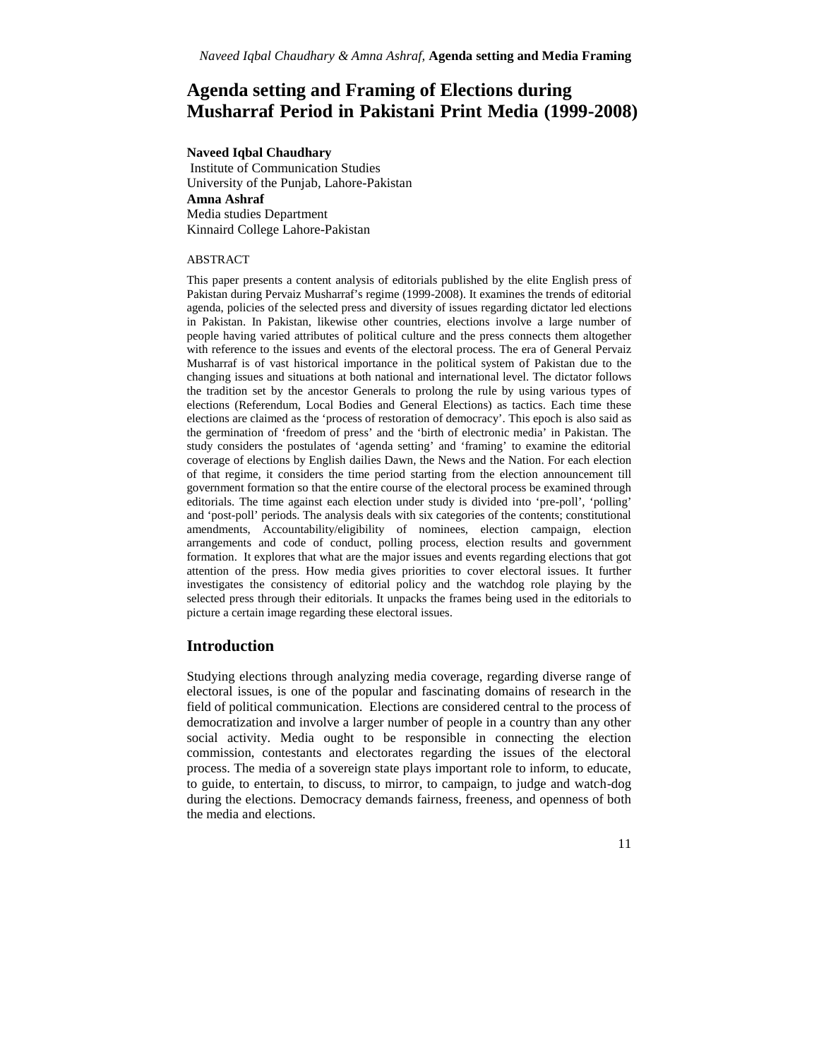# **Agenda setting and Framing of Elections during Musharraf Period in Pakistani Print Media (1999-2008)**

### **Naveed Iqbal Chaudhary**

Institute of Communication Studies University of the Punjab, Lahore-Pakistan **Amna Ashraf** Media studies Department Kinnaird College Lahore-Pakistan

### ABSTRACT

This paper presents a content analysis of editorials published by the elite English press of Pakistan during Pervaiz Musharraf's regime (1999-2008). It examines the trends of editorial agenda, policies of the selected press and diversity of issues regarding dictator led elections in Pakistan. In Pakistan, likewise other countries, elections involve a large number of people having varied attributes of political culture and the press connects them altogether with reference to the issues and events of the electoral process. The era of General Pervaiz Musharraf is of vast historical importance in the political system of Pakistan due to the changing issues and situations at both national and international level. The dictator follows the tradition set by the ancestor Generals to prolong the rule by using various types of elections (Referendum, Local Bodies and General Elections) as tactics. Each time these elections are claimed as the 'process of restoration of democracy'. This epoch is also said as the germination of 'freedom of press' and the 'birth of electronic media' in Pakistan. The study considers the postulates of 'agenda setting' and 'framing' to examine the editorial coverage of elections by English dailies Dawn, the News and the Nation. For each election of that regime, it considers the time period starting from the election announcement till government formation so that the entire course of the electoral process be examined through editorials. The time against each election under study is divided into 'pre-poll', 'polling' and 'post-poll' periods. The analysis deals with six categories of the contents; constitutional amendments, Accountability/eligibility of nominees, election campaign, election arrangements and code of conduct, polling process, election results and government formation. It explores that what are the major issues and events regarding elections that got attention of the press. How media gives priorities to cover electoral issues. It further investigates the consistency of editorial policy and the watchdog role playing by the selected press through their editorials. It unpacks the frames being used in the editorials to picture a certain image regarding these electoral issues.

## **Introduction**

Studying elections through analyzing media coverage, regarding diverse range of electoral issues, is one of the popular and fascinating domains of research in the field of political communication. Elections are considered central to the process of democratization and involve a larger number of people in a country than any other social activity. Media ought to be responsible in connecting the election commission, contestants and electorates regarding the issues of the electoral process. The media of a sovereign state plays important role to inform, to educate, to guide, to entertain, to discuss, to mirror, to campaign, to judge and watch-dog during the elections. Democracy demands fairness, freeness, and openness of both the media and elections.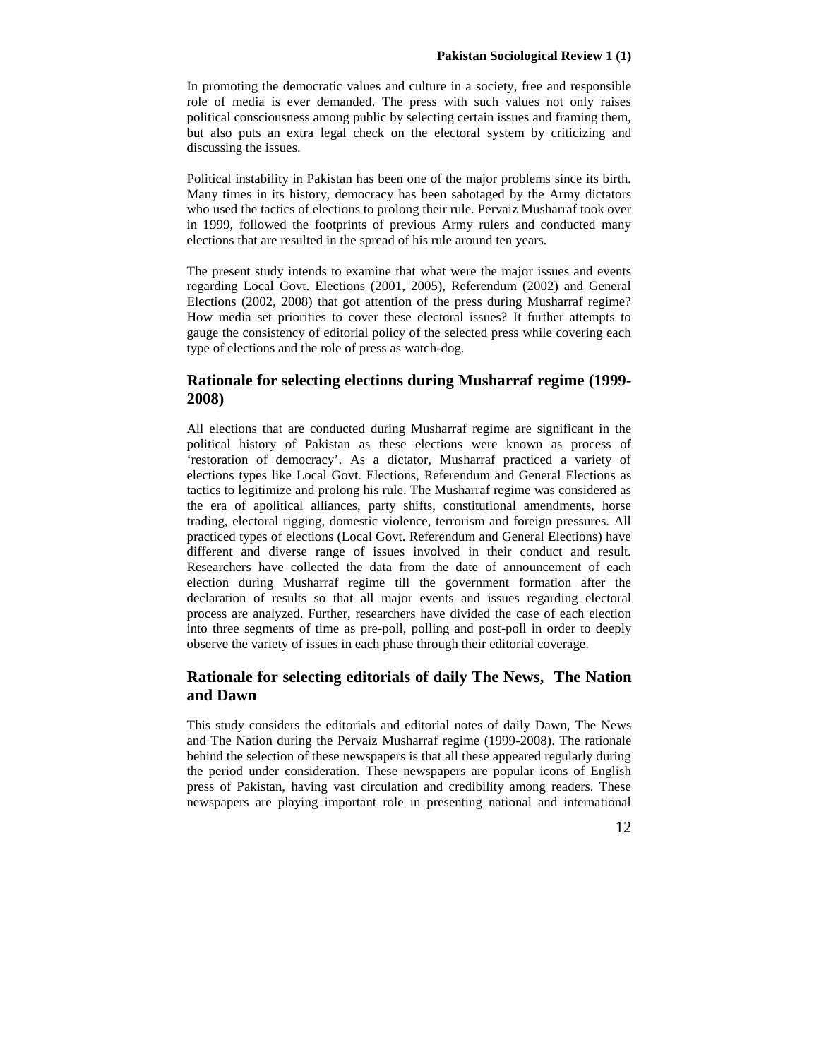In promoting the democratic values and culture in a society, free and responsible role of media is ever demanded. The press with such values not only raises political consciousness among public by selecting certain issues and framing them, but also puts an extra legal check on the electoral system by criticizing and discussing the issues.

Political instability in Pakistan has been one of the major problems since its birth. Many times in its history, democracy has been sabotaged by the Army dictators who used the tactics of elections to prolong their rule. Pervaiz Musharraf took over in 1999, followed the footprints of previous Army rulers and conducted many elections that are resulted in the spread of his rule around ten years.

The present study intends to examine that what were the major issues and events regarding Local Govt. Elections (2001, 2005), Referendum (2002) and General Elections (2002, 2008) that got attention of the press during Musharraf regime? How media set priorities to cover these electoral issues? It further attempts to gauge the consistency of editorial policy of the selected press while covering each type of elections and the role of press as watch-dog.

## **Rationale for selecting elections during Musharraf regime (1999- 2008)**

All elections that are conducted during Musharraf regime are significant in the political history of Pakistan as these elections were known as process of 'restoration of democracy'. As a dictator, Musharraf practiced a variety of elections types like Local Govt. Elections, Referendum and General Elections as tactics to legitimize and prolong his rule. The Musharraf regime was considered as the era of apolitical alliances, party shifts, constitutional amendments, horse trading, electoral rigging, domestic violence, terrorism and foreign pressures. All practiced types of elections (Local Govt. Referendum and General Elections) have different and diverse range of issues involved in their conduct and result. Researchers have collected the data from the date of announcement of each election during Musharraf regime till the government formation after the declaration of results so that all major events and issues regarding electoral process are analyzed. Further, researchers have divided the case of each election into three segments of time as pre-poll, polling and post-poll in order to deeply observe the variety of issues in each phase through their editorial coverage.

## **Rationale for selecting editorials of daily The News, The Nation and Dawn**

This study considers the editorials and editorial notes of daily Dawn, The News and The Nation during the Pervaiz Musharraf regime (1999-2008). The rationale behind the selection of these newspapers is that all these appeared regularly during the period under consideration. These newspapers are popular icons of English press of Pakistan, having vast circulation and credibility among readers. These newspapers are playing important role in presenting national and international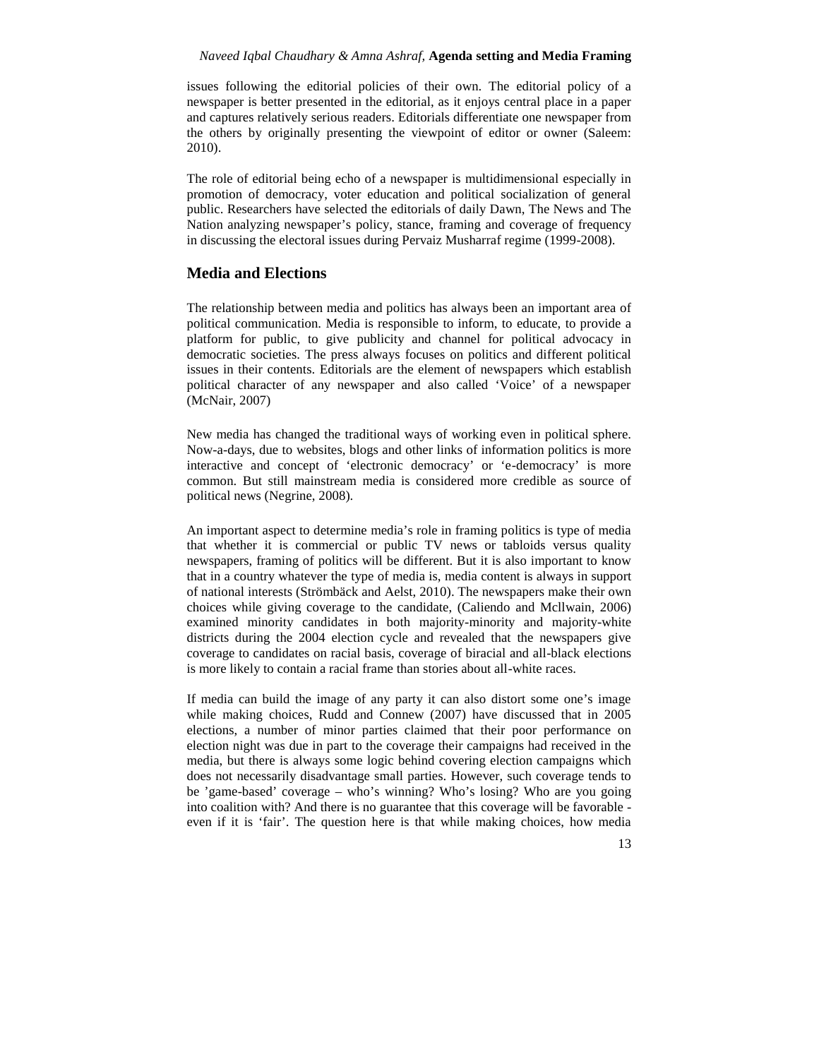issues following the editorial policies of their own. The editorial policy of a newspaper is better presented in the editorial, as it enjoys central place in a paper and captures relatively serious readers. Editorials differentiate one newspaper from the others by originally presenting the viewpoint of editor or owner (Saleem: 2010).

The role of editorial being echo of a newspaper is multidimensional especially in promotion of democracy, voter education and political socialization of general public. Researchers have selected the editorials of daily Dawn, The News and The Nation analyzing newspaper's policy, stance, framing and coverage of frequency in discussing the electoral issues during Pervaiz Musharraf regime (1999-2008).

## **Media and Elections**

The relationship between media and politics has always been an important area of political communication. Media is responsible to inform, to educate, to provide a platform for public, to give publicity and channel for political advocacy in democratic societies. The press always focuses on politics and different political issues in their contents. Editorials are the element of newspapers which establish political character of any newspaper and also called 'Voice' of a newspaper (McNair, 2007)

New media has changed the traditional ways of working even in political sphere. Now-a-days, due to websites, blogs and other links of information politics is more interactive and concept of 'electronic democracy' or 'e-democracy' is more common. But still mainstream media is considered more credible as source of political news (Negrine, 2008).

An important aspect to determine media's role in framing politics is type of media that whether it is commercial or public TV news or tabloids versus quality newspapers, framing of politics will be different. But it is also important to know that in a country whatever the type of media is, media content is always in support of national interests (Strömbäck and Aelst, 2010). The newspapers make their own choices while giving coverage to the candidate, (Caliendo and Mcllwain, 2006) examined minority candidates in both majority-minority and majority-white districts during the 2004 election cycle and revealed that the newspapers give coverage to candidates on racial basis, coverage of biracial and all-black elections is more likely to contain a racial frame than stories about all-white races.

If media can build the image of any party it can also distort some one's image while making choices, Rudd and Connew (2007) have discussed that in 2005 elections, a number of minor parties claimed that their poor performance on election night was due in part to the coverage their campaigns had received in the media, but there is always some logic behind covering election campaigns which does not necessarily disadvantage small parties. However, such coverage tends to be 'game-based' coverage – who's winning? Who's losing? Who are you going into coalition with? And there is no guarantee that this coverage will be favorable even if it is 'fair'. The question here is that while making choices, how media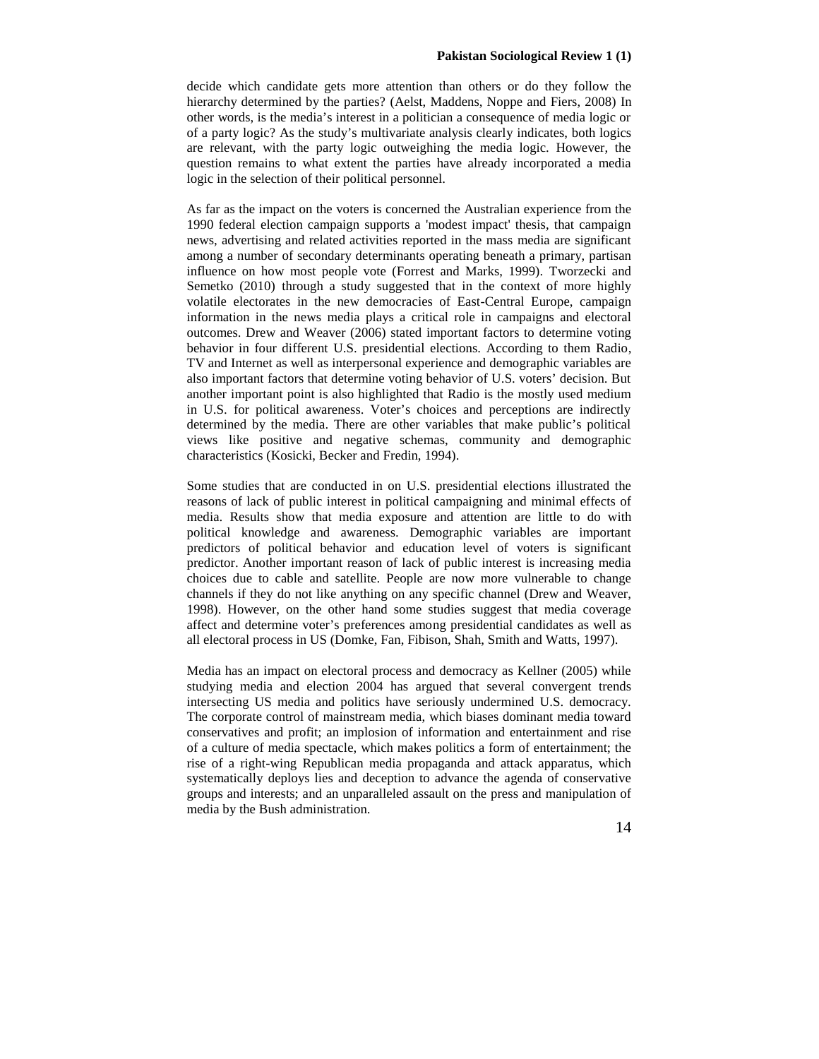decide which candidate gets more attention than others or do they follow the hierarchy determined by the parties? (Aelst, Maddens, Noppe and Fiers, 2008) In other words, is the media's interest in a politician a consequence of media logic or of a party logic? As the study's multivariate analysis clearly indicates, both logics are relevant, with the party logic outweighing the media logic. However, the question remains to what extent the parties have already incorporated a media logic in the selection of their political personnel.

As far as the impact on the voters is concerned the Australian experience from the 1990 federal election campaign supports a 'modest impact' thesis, that campaign news, advertising and related activities reported in the mass media are significant among a number of secondary determinants operating beneath a primary, partisan influence on how most people vote (Forrest and Marks, 1999). Tworzecki and Semetko (2010) through a study suggested that in the context of more highly volatile electorates in the new democracies of East-Central Europe, campaign information in the news media plays a critical role in campaigns and electoral outcomes. Drew and Weaver (2006) stated important factors to determine voting behavior in four different U.S. presidential elections. According to them Radio, TV and Internet as well as interpersonal experience and demographic variables are also important factors that determine voting behavior of U.S. voters' decision. But another important point is also highlighted that Radio is the mostly used medium in U.S. for political awareness. Voter's choices and perceptions are indirectly determined by the media. There are other variables that make public's political views like positive and negative schemas, community and demographic characteristics (Kosicki, Becker and Fredin, 1994).

Some studies that are conducted in on U.S. presidential elections illustrated the reasons of lack of public interest in political campaigning and minimal effects of media. Results show that media exposure and attention are little to do with political knowledge and awareness. Demographic variables are important predictors of political behavior and education level of voters is significant predictor. Another important reason of lack of public interest is increasing media choices due to cable and satellite. People are now more vulnerable to change channels if they do not like anything on any specific channel (Drew and Weaver, 1998). However, on the other hand some studies suggest that media coverage affect and determine voter's preferences among presidential candidates as well as all electoral process in US (Domke, Fan, Fibison, Shah, Smith and Watts, 1997).

Media has an impact on electoral process and democracy as Kellner (2005) while studying media and election 2004 has argued that several convergent trends intersecting US media and politics have seriously undermined U.S. democracy. The corporate control of mainstream media, which biases dominant media toward conservatives and profit; an implosion of information and entertainment and rise of a culture of media spectacle, which makes politics a form of entertainment; the rise of a right-wing Republican media propaganda and attack apparatus, which systematically deploys lies and deception to advance the agenda of conservative groups and interests; and an unparalleled assault on the press and manipulation of media by the Bush administration.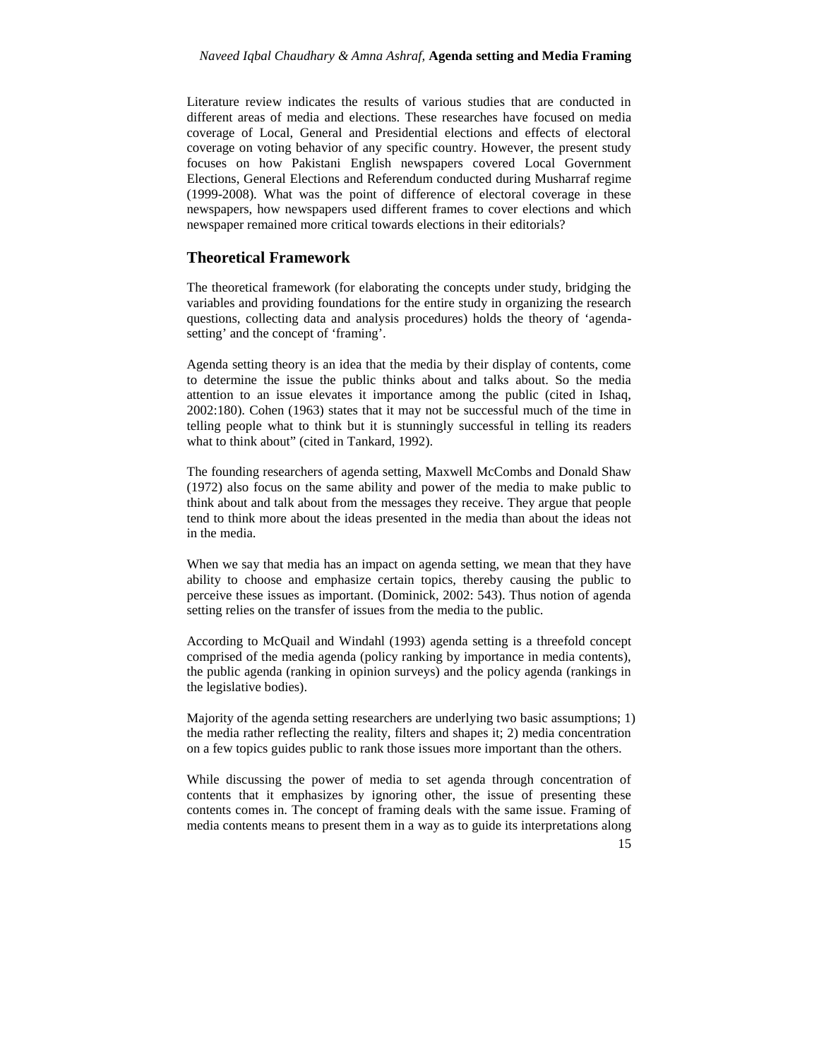Literature review indicates the results of various studies that are conducted in different areas of media and elections. These researches have focused on media coverage of Local, General and Presidential elections and effects of electoral coverage on voting behavior of any specific country. However, the present study focuses on how Pakistani English newspapers covered Local Government Elections, General Elections and Referendum conducted during Musharraf regime (1999-2008). What was the point of difference of electoral coverage in these newspapers, how newspapers used different frames to cover elections and which newspaper remained more critical towards elections in their editorials?

### **Theoretical Framework**

The theoretical framework (for elaborating the concepts under study, bridging the variables and providing foundations for the entire study in organizing the research questions, collecting data and analysis procedures) holds the theory of 'agenda setting' and the concept of 'framing'.

Agenda setting theory is an idea that the media by their display of contents, come to determine the issue the public thinks about and talks about. So the media attention to an issue elevates it importance among the public (cited in Ishaq, 2002:180). Cohen (1963) states that it may not be successful much of the time in telling people what to think but it is stunningly successful in telling its readers what to think about" (cited in Tankard, 1992).

The founding researchers of agenda setting, Maxwell McCombs and Donald Shaw (1972) also focus on the same ability and power of the media to make public to think about and talk about from the messages they receive. They argue that people tend to think more about the ideas presented in the media than about the ideas not in the media.

When we say that media has an impact on agenda setting, we mean that they have ability to choose and emphasize certain topics, thereby causing the public to perceive these issues as important. (Dominick, 2002: 543). Thus notion of agenda setting relies on the transfer of issues from the media to the public.

According to McQuail and Windahl (1993) agenda setting is a threefold concept comprised of the media agenda (policy ranking by importance in media contents), the public agenda (ranking in opinion surveys) and the policy agenda (rankings in the legislative bodies).

Majority of the agenda setting researchers are underlying two basic assumptions; 1) the media rather reflecting the reality, filters and shapes it; 2) media concentration on a few topics guides public to rank those issues more important than the others.

While discussing the power of media to set agenda through concentration of contents that it emphasizes by ignoring other, the issue of presenting these contents comes in. The concept of framing deals with the same issue. Framing of media contents means to present them in a way as to guide its interpretations along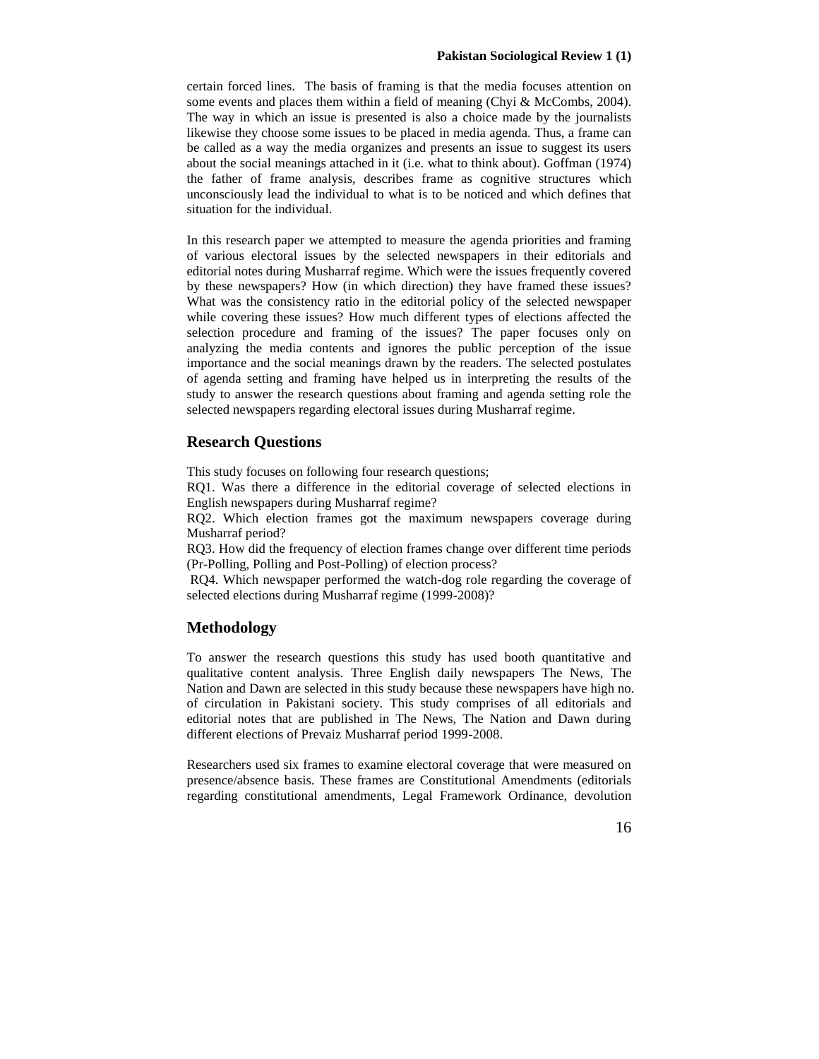certain forced lines. The basis of framing is that the media focuses attention on some events and places them within a field of meaning (Chyi & McCombs, 2004). The way in which an issue is presented is also a choice made by the journalists likewise they choose some issues to be placed in media agenda. Thus, a frame can be called as a way the media organizes and presents an issue to suggest its users about the social meanings attached in it (i.e. what to think about). Goffman (1974) the father of frame analysis, describes frame as cognitive structures which unconsciously lead the individual to what is to be noticed and which defines that situation for the individual.

In this research paper we attempted to measure the agenda priorities and framing of various electoral issues by the selected newspapers in their editorials and editorial notes during Musharraf regime. Which were the issues frequently covered by these newspapers? How (in which direction) they have framed these issues? What was the consistency ratio in the editorial policy of the selected newspaper while covering these issues? How much different types of elections affected the selection procedure and framing of the issues? The paper focuses only on analyzing the media contents and ignores the public perception of the issue importance and the social meanings drawn by the readers. The selected postulates of agenda setting and framing have helped us in interpreting the results of the study to answer the research questions about framing and agenda setting role the selected newspapers regarding electoral issues during Musharraf regime.

## **Research Questions**

This study focuses on following four research questions;

RQ1. Was there a difference in the editorial coverage of selected elections in English newspapers during Musharraf regime?

RQ2. Which election frames got the maximum newspapers coverage during Musharraf period?

RQ3. How did the frequency of election frames change over different time periods (Pr-Polling, Polling and Post-Polling) of election process?

RQ4. Which newspaper performed the watch-dog role regarding the coverage of selected elections during Musharraf regime (1999-2008)?

### **Methodology**

To answer the research questions this study has used booth quantitative and qualitative content analysis. Three English daily newspapers The News, The Nation and Dawn are selected in this study because these newspapers have high no. of circulation in Pakistani society. This study comprises of all editorials and editorial notes that are published in The News, The Nation and Dawn during different elections of Prevaiz Musharraf period 1999-2008.

Researchers used six frames to examine electoral coverage that were measured on presence/absence basis. These frames are Constitutional Amendments (editorials regarding constitutional amendments, Legal Framework Ordinance, devolution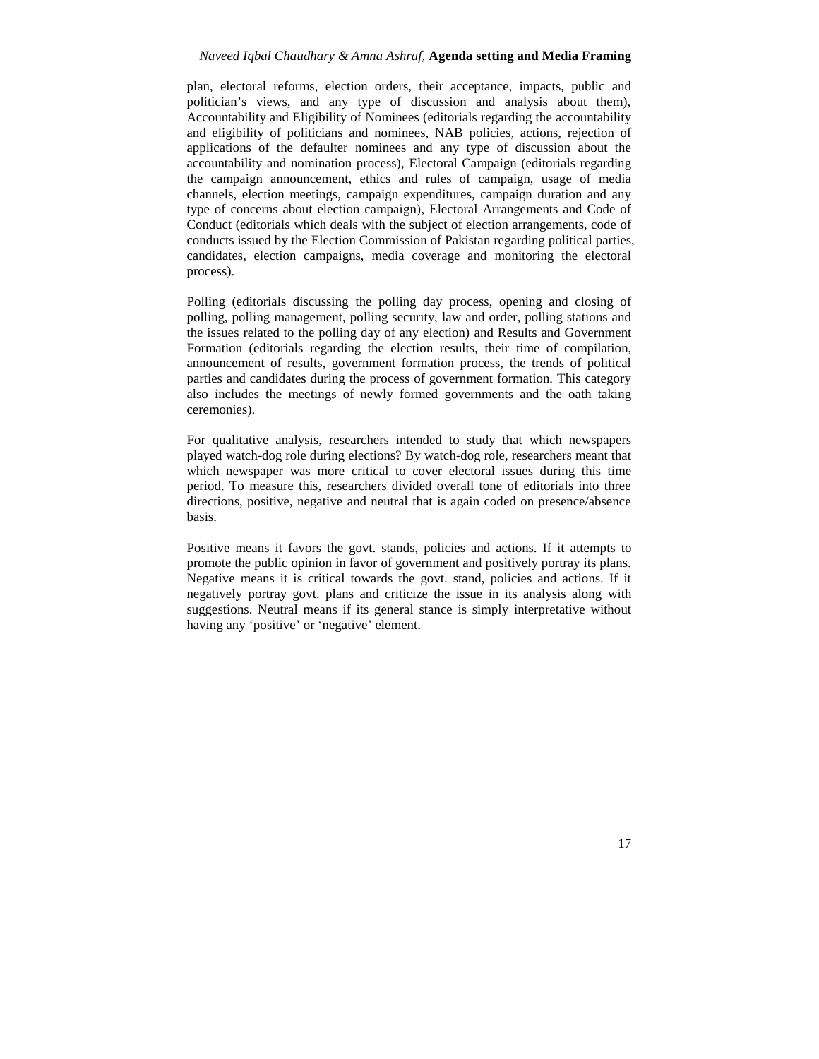plan, electoral reforms, election orders, their acceptance, impacts, public and politician's views, and any type of discussion and analysis about them), Accountability and Eligibility of Nominees (editorials regarding the accountability and eligibility of politicians and nominees, NAB policies, actions, rejection of applications of the defaulter nominees and any type of discussion about the accountability and nomination process), Electoral Campaign (editorials regarding the campaign announcement, ethics and rules of campaign, usage of media channels, election meetings, campaign expenditures, campaign duration and any type of concerns about election campaign), Electoral Arrangements and Code of Conduct (editorials which deals with the subject of election arrangements, code of conducts issued by the Election Commission of Pakistan regarding political parties, candidates, election campaigns, media coverage and monitoring the electoral process).

Polling (editorials discussing the polling day process, opening and closing of polling, polling management, polling security, law and order, polling stations and the issues related to the polling day of any election) and Results and Government Formation (editorials regarding the election results, their time of compilation, announcement of results, government formation process, the trends of political parties and candidates during the process of government formation. This category also includes the meetings of newly formed governments and the oath taking ceremonies).

For qualitative analysis, researchers intended to study that which newspapers played watch-dog role during elections? By watch-dog role, researchers meant that which newspaper was more critical to cover electoral issues during this time period. To measure this, researchers divided overall tone of editorials into three directions, positive, negative and neutral that is again coded on presence/absence basis.

Positive means it favors the govt. stands, policies and actions. If it attempts to promote the public opinion in favor of government and positively portray its plans. Negative means it is critical towards the govt. stand, policies and actions. If it negatively portray govt. plans and criticize the issue in its analysis along with suggestions. Neutral means if its general stance is simply interpretative without having any 'positive' or 'negative' element.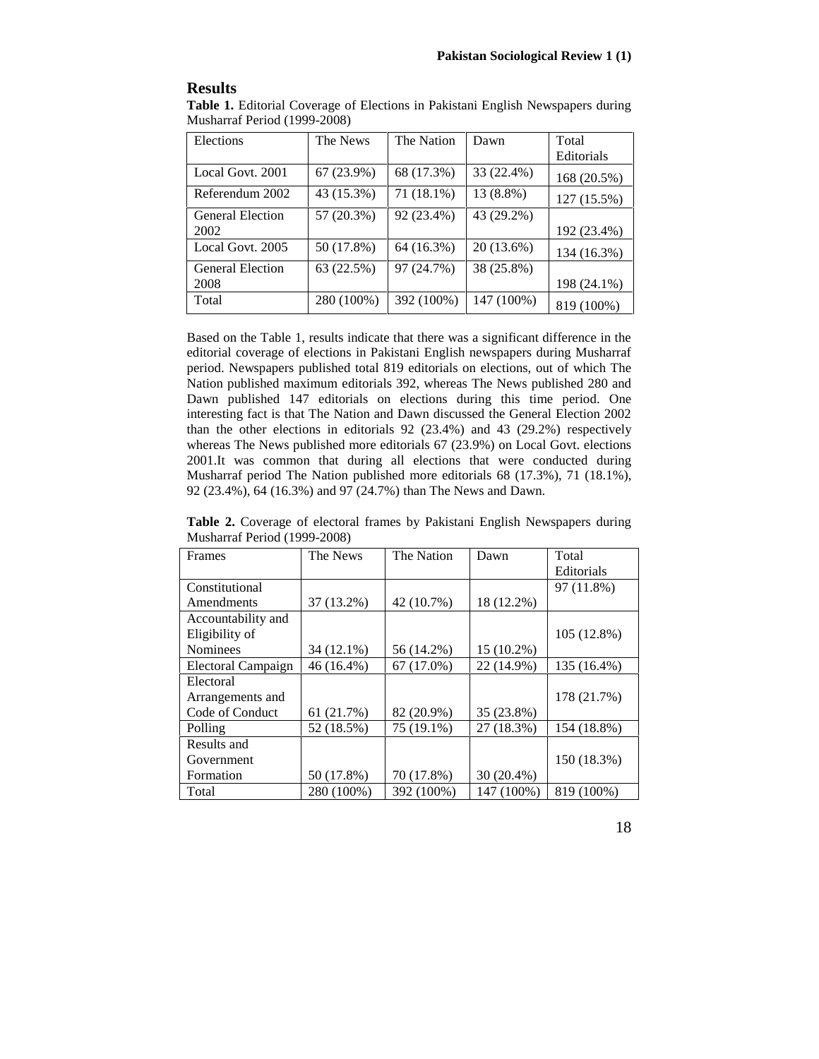## **Results**

| Table 1. Editorial Coverage of Elections in Pakistani English Newspapers during |  |
|---------------------------------------------------------------------------------|--|
| Musharraf Period (1999-2008)                                                    |  |

| Elections               | The News   | The Nation | Dawn       | Total       |
|-------------------------|------------|------------|------------|-------------|
|                         |            |            |            | Editorials  |
| Local Govt. 2001        | 67 (23.9%) | 68 (17.3%) | 33 (22.4%) | 168 (20.5%) |
| Referendum 2002         | 43 (15.3%) | 71 (18.1%) | 13 (8.8%)  | 127 (15.5%) |
| <b>General Election</b> | 57 (20.3%) | 92 (23.4%) | 43 (29.2%) |             |
| 2002                    |            |            |            | 192 (23.4%) |
| Local Govt. 2005        | 50 (17.8%) | 64 (16.3%) | 20 (13.6%) | 134 (16.3%) |
| <b>General Election</b> | 63 (22.5%) | 97 (24.7%) | 38 (25.8%) |             |
| 2008                    |            |            |            | 198 (24.1%) |
| Total                   | 280 (100%) | 392 (100%) | 147 (100%) | 819 (100%)  |

Based on the Table 1, results indicate that there was a significant difference in the editorial coverage of elections in Pakistani English newspapers during Musharraf period. Newspapers published total 819 editorials on elections, out of which The Nation published maximum editorials 392, whereas The News published 280 and Dawn published 147 editorials on elections during this time period. One interesting fact is that The Nation and Dawn discussed the General Election 2002 than the other elections in editorials 92 (23.4%) and 43 (29.2%) respectively whereas The News published more editorials 67 (23.9%) on Local Govt. elections 2001.It was common that during all elections that were conducted during Musharraf period The Nation published more editorials 68 (17.3%), 71 (18.1%), 92 (23.4%), 64 (16.3%) and 97 (24.7%) than The News and Dawn.

**Table 2.** Coverage of electoral frames by Pakistani English Newspapers during Musharraf Period (1999-2008)

| Frames             | The News   | The Nation | Dawn       | Total       |
|--------------------|------------|------------|------------|-------------|
|                    |            |            |            | Editorials  |
| Constitutional     |            |            |            | 97 (11.8%)  |
| Amendments         | 37 (13.2%) | 42 (10.7%) | 18 (12.2%) |             |
| Accountability and |            |            |            |             |
| Eligibility of     |            |            |            | 105 (12.8%) |
| <b>Nominees</b>    | 34 (12.1%) | 56 (14.2%) | 15 (10.2%) |             |
| Electoral Campaign | 46 (16.4%) | 67 (17.0%) | 22 (14.9%) | 135 (16.4%) |
| Electoral          |            |            |            |             |
| Arrangements and   |            |            |            | 178 (21.7%) |
| Code of Conduct    | 61 (21.7%) | 82 (20.9%) | 35 (23.8%) |             |
| Polling            | 52 (18.5%) | 75 (19.1%) | 27 (18.3%) | 154 (18.8%) |
| Results and        |            |            |            |             |
| Government         |            |            |            | 150 (18.3%) |
| Formation          | 50 (17.8%) | 70 (17.8%) | 30 (20.4%) |             |
| Total              | 280 (100%) | 392 (100%) | 147 (100%) | 819 (100%)  |

18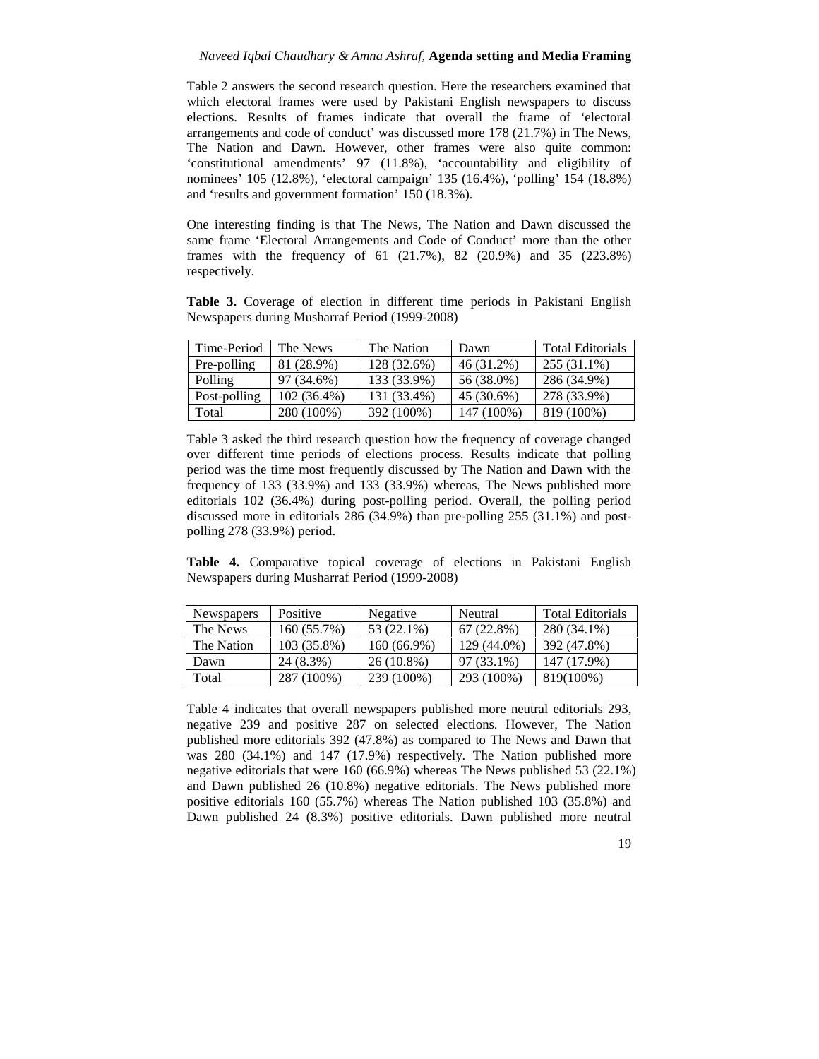Table 2 answers the second research question. Here the researchers examined that which electoral frames were used by Pakistani English newspapers to discuss elections. Results of frames indicate that overall the frame of 'electoral arrangements and code of conduct' was discussed more 178 (21.7%) in The News, The Nation and Dawn. However, other frames were also quite common: 'constitutional amendments' 97 (11.8%), 'accountability and eligibility of nominees' 105 (12.8%), 'electoral campaign' 135 (16.4%), 'polling' 154 (18.8%) and 'results and government formation' 150 (18.3%).

One interesting finding is that The News, The Nation and Dawn discussed the same frame 'Electoral Arrangements and Code of Conduct' more than the other frames with the frequency of 61 (21.7%), 82 (20.9%) and 35 (223.8%) respectively.

**Table 3.** Coverage of election in different time periods in Pakistani English Newspapers during Musharraf Period (1999-2008)

| Time-Period  | The News    | The Nation  | Dawn       | <b>Total Editorials</b> |
|--------------|-------------|-------------|------------|-------------------------|
| Pre-polling  | 81 (28.9%)  | 128 (32.6%) | 46 (31.2%) | 255 (31.1%)             |
| Polling      | 97 (34.6%)  | 133 (33.9%) | 56 (38.0%) | 286 (34.9%)             |
| Post-polling | 102 (36.4%) | 131 (33.4%) | 45 (30.6%) | 278 (33.9%)             |
| Total        | 280 (100%)  | 392 (100%)  | 147 (100%) | 819 (100%)              |

Table 3 asked the third research question how the frequency of coverage changed over different time periods of elections process. Results indicate that polling period was the time most frequently discussed by The Nation and Dawn with the frequency of 133 (33.9%) and 133 (33.9%) whereas, The News published more editorials 102 (36.4%) during post-polling period. Overall, the polling period discussed more in editorials 286 (34.9%) than pre-polling 255 (31.1%) and post polling 278 (33.9%) period.

**Table 4.** Comparative topical coverage of elections in Pakistani English Newspapers during Musharraf Period (1999-2008)

| <b>Newspapers</b> | Positive    | Negative     | Neutral     | <b>Total Editorials</b> |
|-------------------|-------------|--------------|-------------|-------------------------|
| The News          | 160 (55.7%) | 53 (22.1%)   | 67 (22.8%)  | 280 (34.1%)             |
| The Nation        | 103 (35.8%) | 160 (66.9%)  | 129 (44.0%) | 392 (47.8%)             |
| Dawn              | 24 (8.3%)   | $26(10.8\%)$ | 97 (33.1%)  | 147 (17.9%)             |
| Total             | 287 (100%)  | 239 (100%)   | 293 (100%)  | 819(100%)               |

Table 4 indicates that overall newspapers published more neutral editorials 293, negative 239 and positive 287 on selected elections. However, The Nation published more editorials 392 (47.8%) as compared to The News and Dawn that was 280 (34.1%) and 147 (17.9%) respectively. The Nation published more negative editorials that were 160 (66.9%) whereas The News published 53 (22.1%) and Dawn published 26 (10.8%) negative editorials. The News published more positive editorials 160 (55.7%) whereas The Nation published 103 (35.8%) and Dawn published 24 (8.3%) positive editorials. Dawn published more neutral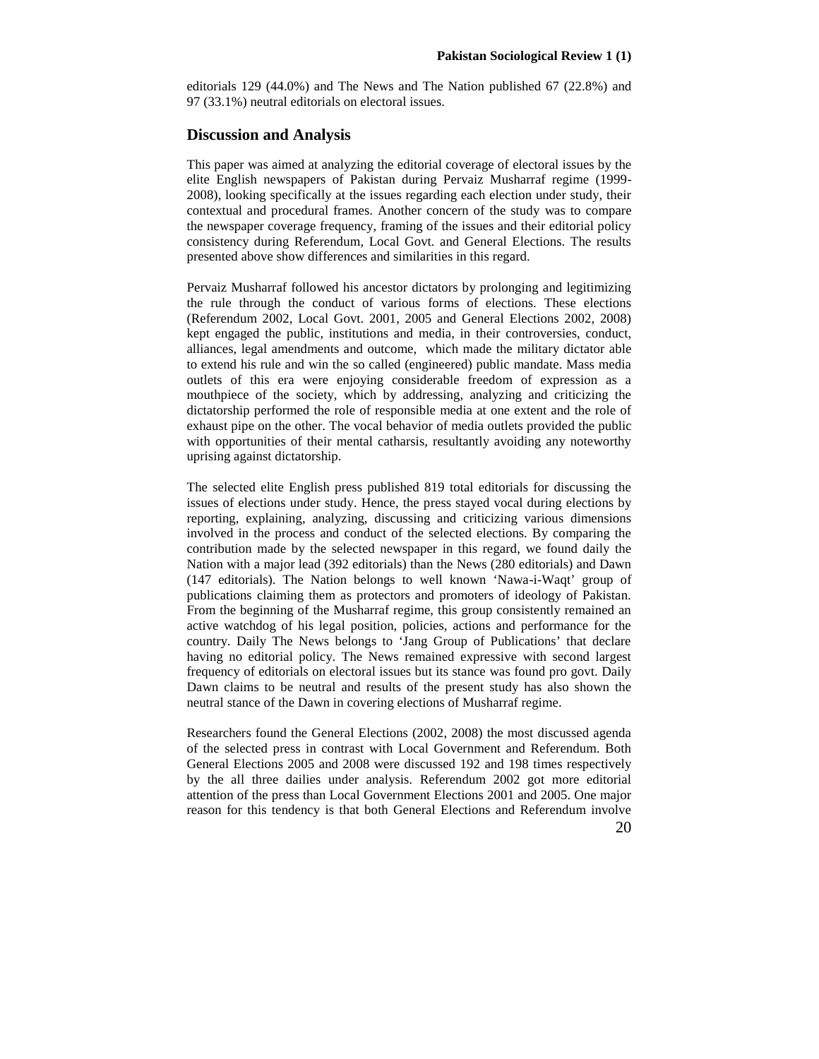editorials 129 (44.0%) and The News and The Nation published 67 (22.8%) and 97 (33.1%) neutral editorials on electoral issues.

## **Discussion and Analysis**

This paper was aimed at analyzing the editorial coverage of electoral issues by the elite English newspapers of Pakistan during Pervaiz Musharraf regime (1999- 2008), looking specifically at the issues regarding each election under study, their contextual and procedural frames. Another concern of the study was to compare the newspaper coverage frequency, framing of the issues and their editorial policy consistency during Referendum, Local Govt. and General Elections. The results presented above show differences and similarities in this regard.

Pervaiz Musharraf followed his ancestor dictators by prolonging and legitimizing the rule through the conduct of various forms of elections. These elections (Referendum 2002, Local Govt. 2001, 2005 and General Elections 2002, 2008) kept engaged the public, institutions and media, in their controversies, conduct, alliances, legal amendments and outcome, which made the military dictator able to extend his rule and win the so called (engineered) public mandate. Mass media outlets of this era were enjoying considerable freedom of expression as a mouthpiece of the society, which by addressing, analyzing and criticizing the dictatorship performed the role of responsible media at one extent and the role of exhaust pipe on the other. The vocal behavior of media outlets provided the public with opportunities of their mental catharsis, resultantly avoiding any noteworthy uprising against dictatorship.

The selected elite English press published 819 total editorials for discussing the issues of elections under study. Hence, the press stayed vocal during elections by reporting, explaining, analyzing, discussing and criticizing various dimensions involved in the process and conduct of the selected elections. By comparing the contribution made by the selected newspaper in this regard, we found daily the Nation with a major lead (392 editorials) than the News (280 editorials) and Dawn (147 editorials). The Nation belongs to well known 'Nawa-i-Waqt' group of publications claiming them as protectors and promoters of ideology of Pakistan. From the beginning of the Musharraf regime, this group consistently remained an active watchdog of his legal position, policies, actions and performance for the country. Daily The News belongs to 'Jang Group of Publications' that declare having no editorial policy. The News remained expressive with second largest frequency of editorials on electoral issues but its stance was found pro govt. Daily Dawn claims to be neutral and results of the present study has also shown the neutral stance of the Dawn in covering elections of Musharraf regime.

Researchers found the General Elections (2002, 2008) the most discussed agenda of the selected press in contrast with Local Government and Referendum. Both General Elections 2005 and 2008 were discussed 192 and 198 times respectively by the all three dailies under analysis. Referendum 2002 got more editorial attention of the press than Local Government Elections 2001 and 2005. One major reason for this tendency is that both General Elections and Referendum involve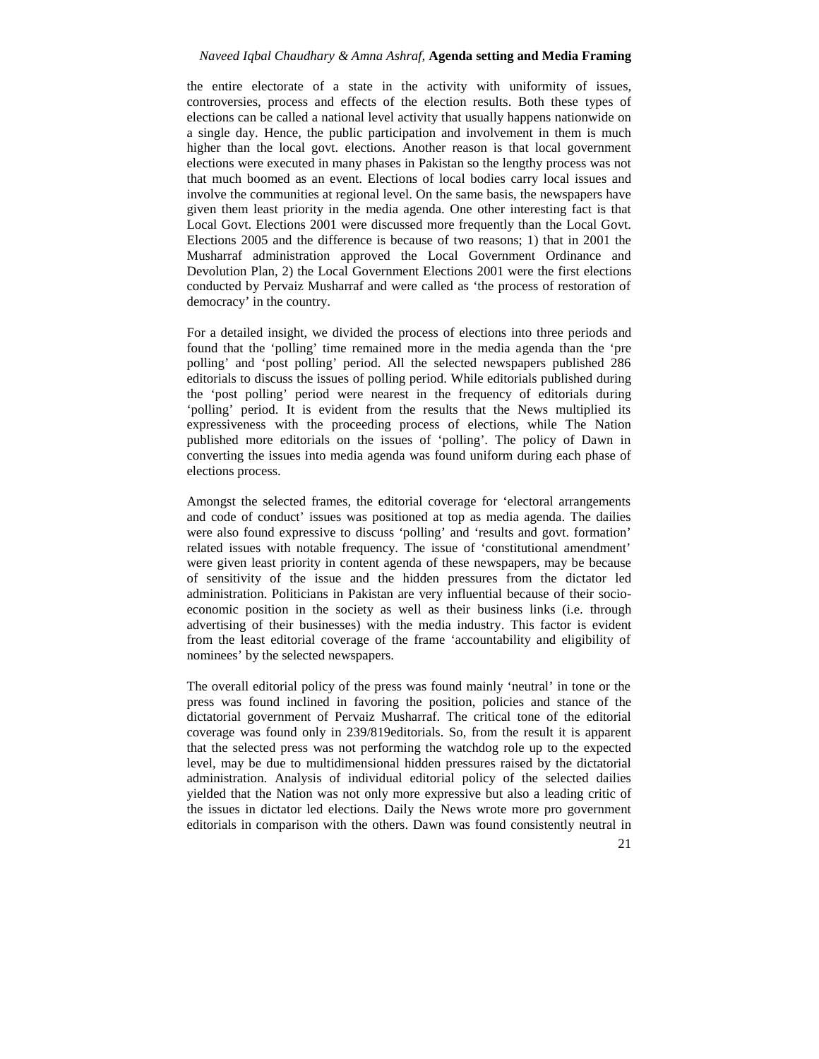the entire electorate of a state in the activity with uniformity of issues, controversies, process and effects of the election results. Both these types of elections can be called a national level activity that usually happens nationwide on a single day. Hence, the public participation and involvement in them is much higher than the local govt. elections. Another reason is that local government elections were executed in many phases in Pakistan so the lengthy process was not that much boomed as an event. Elections of local bodies carry local issues and involve the communities at regional level. On the same basis, the newspapers have given them least priority in the media agenda. One other interesting fact is that Local Govt. Elections 2001 were discussed more frequently than the Local Govt. Elections 2005 and the difference is because of two reasons; 1) that in 2001 the Musharraf administration approved the Local Government Ordinance and Devolution Plan, 2) the Local Government Elections 2001 were the first elections conducted by Pervaiz Musharraf and were called as 'the process of restoration of democracy' in the country.

For a detailed insight, we divided the process of elections into three periods and found that the 'polling' time remained more in the media agenda than the 'pre polling' and 'post polling' period. All the selected newspapers published 286 editorials to discuss the issues of polling period. While editorials published during the 'post polling' period were nearest in the frequency of editorials during 'polling' period. It is evident from the results that the News multiplied its expressiveness with the proceeding process of elections, while The Nation published more editorials on the issues of 'polling'. The policy of Dawn in converting the issues into media agenda was found uniform during each phase of elections process.

Amongst the selected frames, the editorial coverage for 'electoral arrangements and code of conduct' issues was positioned at top as media agenda. The dailies were also found expressive to discuss 'polling' and 'results and govt. formation' related issues with notable frequency. The issue of 'constitutional amendment' were given least priority in content agenda of these newspapers, may be because of sensitivity of the issue and the hidden pressures from the dictator led administration. Politicians in Pakistan are very influential because of their socio economic position in the society as well as their business links (i.e. through advertising of their businesses) with the media industry. This factor is evident from the least editorial coverage of the frame 'accountability and eligibility of nominees' by the selected newspapers.

The overall editorial policy of the press was found mainly 'neutral' in tone or the press was found inclined in favoring the position, policies and stance of the dictatorial government of Pervaiz Musharraf. The critical tone of the editorial coverage was found only in 239/819editorials. So, from the result it is apparent that the selected press was not performing the watchdog role up to the expected level, may be due to multidimensional hidden pressures raised by the dictatorial administration. Analysis of individual editorial policy of the selected dailies yielded that the Nation was not only more expressive but also a leading critic of the issues in dictator led elections. Daily the News wrote more pro government editorials in comparison with the others. Dawn was found consistently neutral in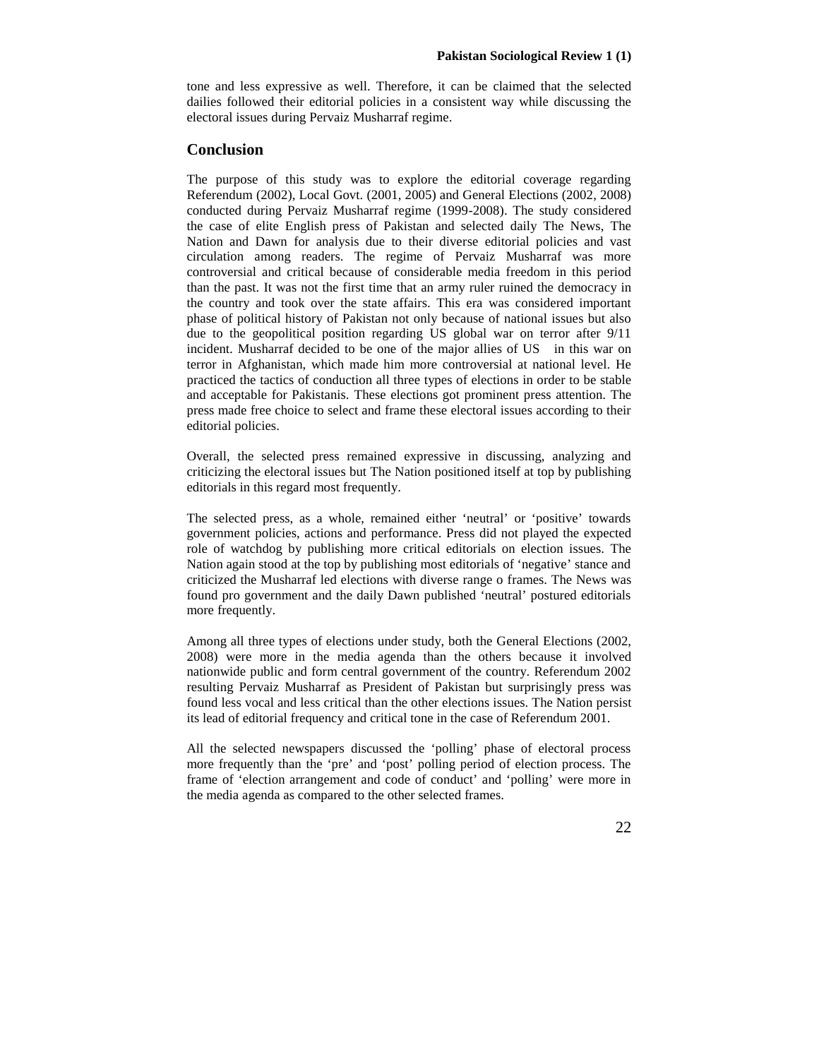tone and less expressive as well. Therefore, it can be claimed that the selected dailies followed their editorial policies in a consistent way while discussing the electoral issues during Pervaiz Musharraf regime.

### **Conclusion**

The purpose of this study was to explore the editorial coverage regarding Referendum (2002), Local Govt. (2001, 2005) and General Elections (2002, 2008) conducted during Pervaiz Musharraf regime (1999-2008). The study considered the case of elite English press of Pakistan and selected daily The News, The Nation and Dawn for analysis due to their diverse editorial policies and vast circulation among readers. The regime of Pervaiz Musharraf was more controversial and critical because of considerable media freedom in this period than the past. It was not the first time that an army ruler ruined the democracy in the country and took over the state affairs. This era was considered important phase of political history of Pakistan not only because of national issues but also due to the geopolitical position regarding US global war on terror after 9/11 incident. Musharraf decided to be one of the major allies of US in this war on terror in Afghanistan, which made him more controversial at national level. He practiced the tactics of conduction all three types of elections in order to be stable and acceptable for Pakistanis. These elections got prominent press attention. The press made free choice to select and frame these electoral issues according to their editorial policies.

Overall, the selected press remained expressive in discussing, analyzing and criticizing the electoral issues but The Nation positioned itself at top by publishing editorials in this regard most frequently.

The selected press, as a whole, remained either 'neutral' or 'positive' towards government policies, actions and performance. Press did not played the expected role of watchdog by publishing more critical editorials on election issues. The Nation again stood at the top by publishing most editorials of 'negative' stance and criticized the Musharraf led elections with diverse range o frames. The News was found pro government and the daily Dawn published 'neutral' postured editorials more frequently.

Among all three types of elections under study, both the General Elections (2002, 2008) were more in the media agenda than the others because it involved nationwide public and form central government of the country. Referendum 2002 resulting Pervaiz Musharraf as President of Pakistan but surprisingly press was found less vocal and less critical than the other elections issues. The Nation persist its lead of editorial frequency and critical tone in the case of Referendum 2001.

All the selected newspapers discussed the 'polling' phase of electoral process more frequently than the 'pre' and 'post' polling period of election process. The frame of 'election arrangement and code of conduct' and 'polling' were more in the media agenda as compared to the other selected frames.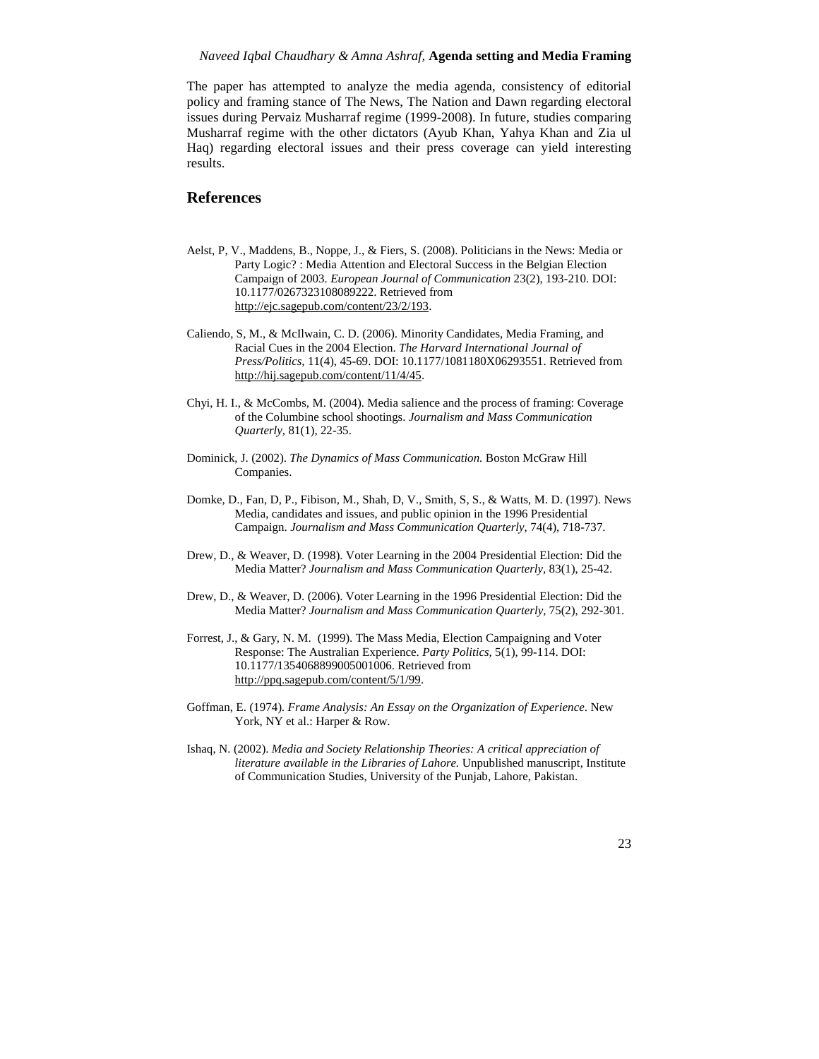The paper has attempted to analyze the media agenda, consistency of editorial policy and framing stance of The News, The Nation and Dawn regarding electoral issues during Pervaiz Musharraf regime (1999-2008). In future, studies comparing Musharraf regime with the other dictators (Ayub Khan, Yahya Khan and Zia ul Haq) regarding electoral issues and their press coverage can yield interesting results.

## **References**

- Aelst, P, V., Maddens, B., Noppe, J., & Fiers, S. (2008). Politicians in the News: Media or Party Logic? : Media Attention and Electoral Success in the Belgian Election Campaign of 2003. *European Journal of Communication* 23(2), 193-210. DOI: 10.1177/0267323108089222. Retrieved from http://ejc.sagepub.com/content/23/2/193.
- Caliendo, S, M., & McIlwain, C. D. (2006). Minority Candidates, Media Framing, and Racial Cues in the 2004 Election. *The Harvard International Journal of Press/Politics,* 11(4), 45-69. DOI: 10.1177/1081180X06293551. Retrieved from http://hij.sagepub.com/content/11/4/45.
- Chyi, H. I., & McCombs, M. (2004). Media salience and the process of framing: Coverage of the Columbine school shootings. *Journalism and Mass Communication Quarterly,* 81(1), 22-35.
- Dominick, J. (2002). *The Dynamics of Mass Communication.* Boston McGraw Hill Companies.
- Domke, D., Fan, D, P., Fibison, M., Shah, D, V., Smith, S, S., & Watts, M. D. (1997). News Media, candidates and issues, and public opinion in the 1996 Presidential Campaign. *Journalism and Mass Communication Quarterly*, 74(4), 718-737.
- Drew, D., & Weaver, D. (1998). Voter Learning in the 2004 Presidential Election: Did the Media Matter? *Journalism and Mass Communication Quarterly,* 83(1), 25-42.
- Drew, D., & Weaver, D. (2006). Voter Learning in the 1996 Presidential Election: Did the Media Matter? *Journalism and Mass Communication Quarterly,* 75(2), 292-301.
- Forrest, J., & Gary, N. M. (1999). The Mass Media, Election Campaigning and Voter Response: The Australian Experience. *Party Politics,* 5(1), 99-114. DOI: 10.1177/1354068899005001006. Retrieved from http://ppq.sagepub.com/content/5/1/99.
- Goffman, E. (1974). *Frame Analysis: An Essay on the Organization of Experience*. New York, NY et al.: Harper & Row.
- Ishaq, N. (2002). *Media and Society Relationship Theories: A critical appreciation of literature available in the Libraries of Lahore.* Unpublished manuscript, Institute of Communication Studies, University of the Punjab, Lahore, Pakistan.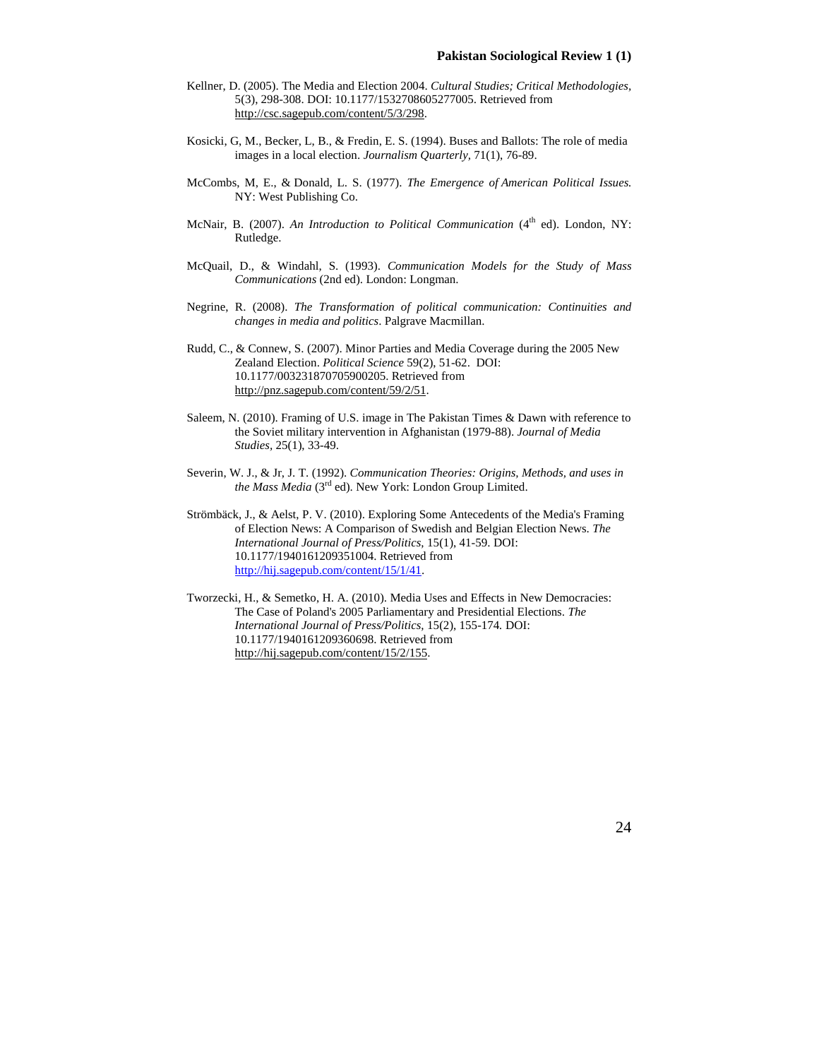- Kellner, D. (2005). The Media and Election 2004. *Cultural Studies; Critical Methodologies,* 5(3), 298-308. DOI: 10.1177/1532708605277005. Retrieved from http://csc.sagepub.com/content/5/3/298.
- Kosicki, G, M., Becker, L, B., & Fredin, E. S. (1994). Buses and Ballots: The role of media images in a local election. *Journalism Quarterly,* 71(1), 76-89.
- McCombs, M, E., & Donald, L. S. (1977). *The Emergence of American Political Issues.* NY: West Publishing Co.
- McNair, B. (2007). An Introduction to Political Communication (4<sup>th</sup> ed). London, NY: Rutledge.
- McQuail, D., & Windahl, S. (1993). *Communication Models for the Study of Mass Communications* (2nd ed). London: Longman.
- Negrine, R. (2008). *The Transformation of political communication: Continuities and changes in media and politics*. Palgrave Macmillan.
- Rudd, C., & Connew, S. (2007). Minor Parties and Media Coverage during the 2005 New Zealand Election. *Political Science* 59(2), 51-62. DOI: 10.1177/003231870705900205. Retrieved from http://pnz.sagepub.com/content/59/2/51.
- Saleem, N. (2010). Framing of U.S. image in The Pakistan Times & Dawn with reference to the Soviet military intervention in Afghanistan (1979-88). *Journal of Media Studies,* 25(1), 33-49.
- Severin, W. J., & Jr, J. T. (1992). *Communication Theories: Origins, Methods, and uses in the Mass Media* (3rd ed). New York: London Group Limited.
- Strömbäck, J., & Aelst, P. V. (2010). Exploring Some Antecedents of the Media's Framing of Election News: A Comparison of Swedish and Belgian Election News. *The International Journal of Press/Politics,* 15(1), 41-59. DOI: 10.1177/1940161209351004. Retrieved from http://hij.sagepub.com/content/15/1/41.
- Tworzecki, H., & Semetko, H. A. (2010). Media Uses and Effects in New Democracies: The Case of Poland's 2005 Parliamentary and Presidential Elections. *The International Journal of Press/Politics,* 15(2), 155-174*.* DOI: 10.1177/1940161209360698. Retrieved from http://hij.sagepub.com/content/15/2/155.